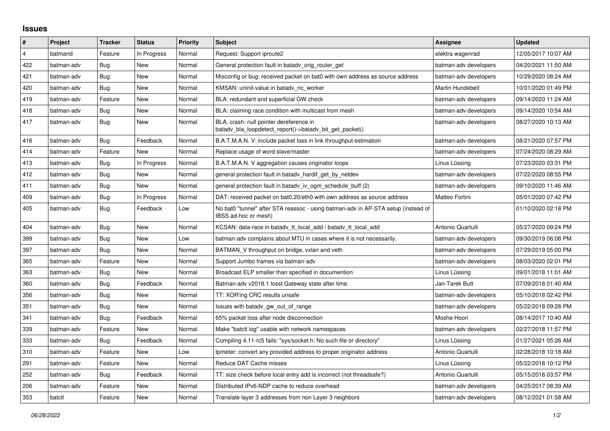## **Issues**

| $\vert$ #      | Project    | <b>Tracker</b> | <b>Status</b> | <b>Priority</b> | <b>Subject</b>                                                                                            | <b>Assignee</b>       | <b>Updated</b>      |
|----------------|------------|----------------|---------------|-----------------|-----------------------------------------------------------------------------------------------------------|-----------------------|---------------------|
| $\overline{4}$ | batmand    | Feature        | In Progress   | Normal          | Request: Support iproute2                                                                                 | elektra wagenrad      | 12/05/2017 10:07 AM |
| 422            | batman-adv | Bug            | <b>New</b>    | Normal          | General protection fault in batadv_orig_router_get                                                        | batman-adv developers | 04/20/2021 11:50 AM |
| 421            | batman-adv | Bug            | New           | Normal          | Misconfig or bug: received packet on bat0 with own address as source address                              | batman-adv developers | 10/29/2020 08:24 AM |
| 420            | batman-adv | Bug            | New           | Normal          | KMSAN: uninit-value in batady nc worker                                                                   | Martin Hundebøll      | 10/01/2020 01:49 PM |
| 419            | batman-adv | Feature        | <b>New</b>    | Normal          | BLA: redundant and superficial GW check                                                                   | batman-adv developers | 09/14/2020 11:24 AM |
| 418            | batman-adv | Bug            | New           | Normal          | BLA: claiming race condition with multicast from mesh                                                     | batman-adv developers | 09/14/2020 10:54 AM |
| 417            | batman-adv | Bug            | New           | Normal          | BLA, crash: null pointer dereference in<br>batady bla loopdetect report()->batady bit get packet()        | batman-adv developers | 08/27/2020 10:13 AM |
| 416            | batman-adv | Bug            | Feedback      | Normal          | B.A.T.M.A.N. V: include packet loss in link throughput estimation                                         | batman-adv developers | 08/21/2020 07:57 PM |
| 414            | batman-adv | Feature        | <b>New</b>    | Normal          | Replace usage of word slave/master                                                                        | batman-adv developers | 07/24/2020 08:29 AM |
| 413            | batman-adv | <b>Bug</b>     | In Progress   | Normal          | B.A.T.M.A.N. V aggregation causes originator loops                                                        | Linus Lüssing         | 07/23/2020 03:31 PM |
| 412            | batman-adv | Bug            | New           | Normal          | general protection fault in batady hardif get by netdev                                                   | batman-adv developers | 07/22/2020 08:55 PM |
| 411            | batman-adv | Bug            | <b>New</b>    | Normal          | general protection fault in batady iv ogm_schedule_buff (2)                                               | batman-adv developers | 09/10/2020 11:46 AM |
| 409            | batman-adv | Bug            | In Progress   | Normal          | DAT: received packet on bat0.20/eth0 with own address as source address                                   | Matteo Fortini        | 05/01/2020 07:42 PM |
| 405            | batman-adv | Bug            | Feedback      | Low             | No bat0 "tunnel" after STA reassoc - using batman-adv in AP-STA setup (instead of<br>IBSS ad-hoc or mesh) |                       | 01/10/2020 02:18 PM |
| 404            | batman-adv | Bug            | <b>New</b>    | Normal          | KCSAN: data-race in batady tt local add / batady tt local add                                             | Antonio Quartulli     | 05/27/2020 09:24 PM |
| 399            | batman-adv | Bug            | New           | Low             | batman-adv complains about MTU in cases where it is not necessarily.                                      | batman-adv developers | 09/30/2019 06:08 PM |
| 397            | batman-adv | Bug            | New           | Normal          | BATMAN_V throughput on bridge, vxlan and veth                                                             | batman-adv developers | 07/29/2019 05:00 PM |
| 365            | batman-adv | Feature        | New           | Normal          | Support Jumbo frames via batman-adv                                                                       | batman-adv developers | 08/03/2020 02:01 PM |
| 363            | batman-adv | Bug            | <b>New</b>    | Normal          | Broadcast ELP smaller than specified in documention                                                       | Linus Lüssing         | 09/01/2018 11:01 AM |
| 360            | batman-adv | <b>Bug</b>     | Feedback      | Normal          | Batman-adv v2018.1 losst Gateway state after time.                                                        | Jan-Tarek Butt        | 07/09/2018 01:40 AM |
| 356            | batman-adv | Bug            | New           | Normal          | TT: XOR'ing CRC results unsafe                                                                            | batman-adv developers | 05/10/2018 02:42 PM |
| 351            | batman-adv | <b>Bug</b>     | New           | Normal          | Issues with batady gw out of range                                                                        | batman-adv developers | 05/22/2018 09:28 PM |
| 341            | batman-adv | Bug            | Feedback      | Normal          | 65% packet loss after node disconnection                                                                  | Moshe Hoori           | 08/14/2017 10:40 AM |
| 339            | batman-adv | Feature        | New           | Normal          | Make "batctl log" usable with network namespaces                                                          | batman-adv developers | 02/27/2018 11:57 PM |
| 333            | batman-adv | Bug            | Feedback      | Normal          | Compiling 4.11-rc5 fails: "sys/socket.h: No such file or directory"                                       | Linus Lüssing         | 01/27/2021 05:26 AM |
| 310            | batman-adv | Feature        | <b>New</b>    | Low             | tpmeter: convert any provided address to proper originator address                                        | Antonio Quartulli     | 02/28/2018 10:18 AM |
| 291            | batman-adv | Feature        | New           | Normal          | Reduce DAT Cache misses                                                                                   | Linus Lüssing         | 05/22/2018 10:12 PM |
| 252            | batman-adv | Bug            | Feedback      | Normal          | TT: size check before local entry add is incorrect (not threadsafe?)                                      | Antonio Quartulli     | 05/15/2016 03:57 PM |
| 206            | batman-adv | Feature        | New           | Normal          | Distributed IPv6-NDP cache to reduce overhead                                                             | batman-adv developers | 04/25/2017 08:39 AM |
| 353            | batctl     | Feature        | New           | Normal          | Translate layer 3 addresses from non Layer 3 neighbors                                                    | batman-adv developers | 08/12/2021 01:58 AM |